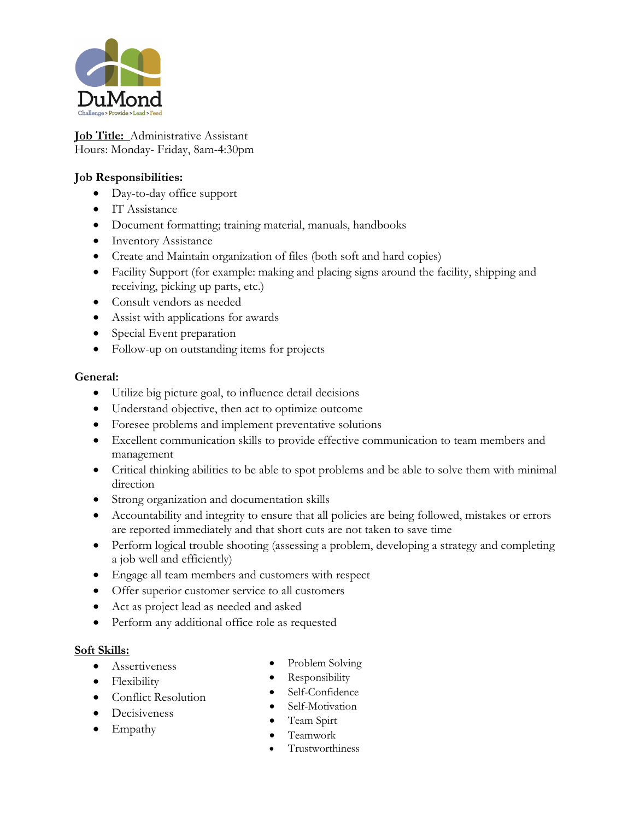

**Job Title:** Administrative Assistant Hours: Monday- Friday, 8am-4:30pm

## **Job Responsibilities:**

- Day-to-day office support
- IT Assistance
- Document formatting; training material, manuals, handbooks
- Inventory Assistance
- Create and Maintain organization of files (both soft and hard copies)
- Facility Support (for example: making and placing signs around the facility, shipping and receiving, picking up parts, etc.)
- Consult vendors as needed
- Assist with applications for awards
- Special Event preparation
- Follow-up on outstanding items for projects

#### **General:**

- Utilize big picture goal, to influence detail decisions
- Understand objective, then act to optimize outcome
- Foresee problems and implement preventative solutions
- Excellent communication skills to provide effective communication to team members and management
- Critical thinking abilities to be able to spot problems and be able to solve them with minimal direction
- Strong organization and documentation skills
- Accountability and integrity to ensure that all policies are being followed, mistakes or errors are reported immediately and that short cuts are not taken to save time
- Perform logical trouble shooting (assessing a problem, developing a strategy and completing a job well and efficiently)
- Engage all team members and customers with respect
- Offer superior customer service to all customers
- Act as project lead as needed and asked
- Perform any additional office role as requested

#### **Soft Skills:**

• Assertiveness

• Decisiveness

- Flexibility
- Conflict Resolution
- Self-Confidence
- Self-Motivation

• Problem Solving • Responsibility

• Team Spirt

• Empathy

- Teamwork
- Trustworthiness